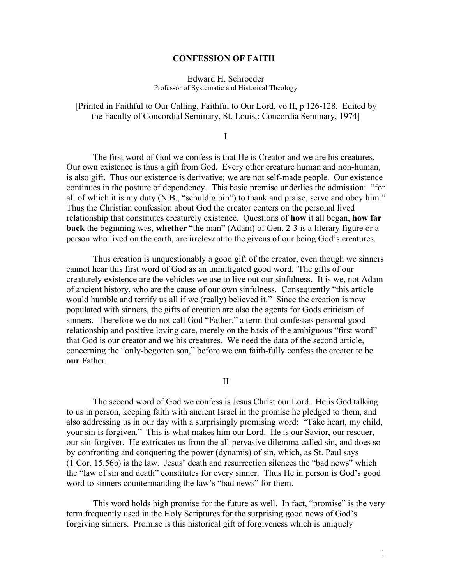## **CONFESSION OF FAITH**

## Edward H. Schroeder Professor of Systematic and Historical Theology

## [Printed in Faithful to Our Calling, Faithful to Our Lord, vo II, p 126-128. Edited by the Faculty of Concordial Seminary, St. Louis,: Concordia Seminary, 1974]

I

The first word of God we confess is that He is Creator and we are his creatures. Our own existence is thus a gift from God. Every other creature human and non-human, is also gift. Thus our existence is derivative; we are not self-made people. Our existence continues in the posture of dependency. This basic premise underlies the admission: "for all of which it is my duty (N.B., "schuldig bin") to thank and praise, serve and obey him." Thus the Christian confession about God the creator centers on the personal lived relationship that constitutes creaturely existence. Questions of **how** it all began, **how far back** the beginning was, **whether** "the man" (Adam) of Gen. 2-3 is a literary figure or a person who lived on the earth, are irrelevant to the givens of our being God's creatures.

Thus creation is unquestionably a good gift of the creator, even though we sinners cannot hear this first word of God as an unmitigated good word. The gifts of our creaturely existence are the vehicles we use to live out our sinfulness. It is we, not Adam of ancient history, who are the cause of our own sinfulness. Consequently "this article would humble and terrify us all if we (really) believed it." Since the creation is now populated with sinners, the gifts of creation are also the agents for Gods criticism of sinners. Therefore we do not call God "Father," a term that confesses personal good relationship and positive loving care, merely on the basis of the ambiguous "first word" that God is our creator and we his creatures. We need the data of the second article, concerning the "only-begotten son," before we can faith-fully confess the creator to be **our** Father.

II

The second word of God we confess is Jesus Christ our Lord. He is God talking to us in person, keeping faith with ancient Israel in the promise he pledged to them, and also addressing us in our day with a surprisingly promising word: "Take heart, my child, your sin is forgiven." This is what makes him our Lord. He is our Savior, our rescuer, our sin-forgiver. He extricates us from the all-pervasive dilemma called sin, and does so by confronting and conquering the power (dynamis) of sin, which, as St. Paul says (1 Cor. 15.56b) is the law. Jesus' death and resurrection silences the "bad news" which the "law of sin and death" constitutes for every sinner. Thus He in person is God's good word to sinners countermanding the law's "bad news" for them.

This word holds high promise for the future as well. In fact, "promise" is the very term frequently used in the Holy Scriptures for the surprising good news of God's forgiving sinners. Promise is this historical gift of forgiveness which is uniquely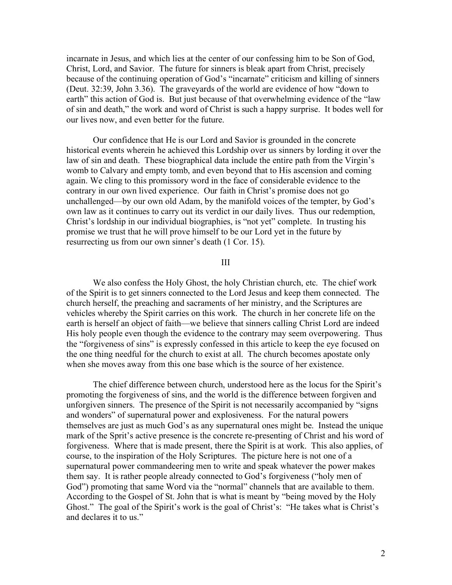incarnate in Jesus, and which lies at the center of our confessing him to be Son of God, Christ, Lord, and Savior. The future for sinners is bleak apart from Christ, precisely because of the continuing operation of God's "incarnate" criticism and killing of sinners (Deut. 32:39, John 3.36). The graveyards of the world are evidence of how "down to earth" this action of God is. But just because of that overwhelming evidence of the "law of sin and death," the work and word of Christ is such a happy surprise. It bodes well for our lives now, and even better for the future.

Our confidence that He is our Lord and Savior is grounded in the concrete historical events wherein he achieved this Lordship over us sinners by lording it over the law of sin and death. These biographical data include the entire path from the Virgin's womb to Calvary and empty tomb, and even beyond that to His ascension and coming again. We cling to this promissory word in the face of considerable evidence to the contrary in our own lived experience. Our faith in Christ's promise does not go unchallenged—by our own old Adam, by the manifold voices of the tempter, by God's own law as it continues to carry out its verdict in our daily lives. Thus our redemption, Christ's lordship in our individual biographies, is "not yet" complete. In trusting his promise we trust that he will prove himself to be our Lord yet in the future by resurrecting us from our own sinner's death (1 Cor. 15).

III

We also confess the Holy Ghost, the holy Christian church, etc. The chief work of the Spirit is to get sinners connected to the Lord Jesus and keep them connected. The church herself, the preaching and sacraments of her ministry, and the Scriptures are vehicles whereby the Spirit carries on this work. The church in her concrete life on the earth is herself an object of faith—we believe that sinners calling Christ Lord are indeed His holy people even though the evidence to the contrary may seem overpowering. Thus the "forgiveness of sins" is expressly confessed in this article to keep the eye focused on the one thing needful for the church to exist at all. The church becomes apostate only when she moves away from this one base which is the source of her existence.

The chief difference between church, understood here as the locus for the Spirit's promoting the forgiveness of sins, and the world is the difference between forgiven and unforgiven sinners. The presence of the Spirit is not necessarily accompanied by "signs and wonders" of supernatural power and explosiveness. For the natural powers themselves are just as much God's as any supernatural ones might be. Instead the unique mark of the Sprit's active presence is the concrete re-presenting of Christ and his word of forgiveness. Where that is made present, there the Spirit is at work. This also applies, of course, to the inspiration of the Holy Scriptures. The picture here is not one of a supernatural power commandeering men to write and speak whatever the power makes them say. It is rather people already connected to God's forgiveness ("holy men of God") promoting that same Word via the "normal" channels that are available to them. According to the Gospel of St. John that is what is meant by "being moved by the Holy Ghost." The goal of the Spirit's work is the goal of Christ's: "He takes what is Christ's and declares it to us."